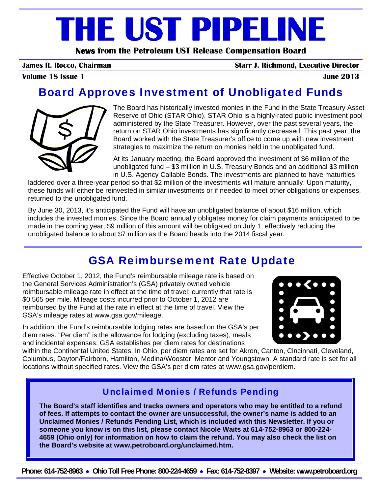# **THE UST PIPELINE**

**News from the Petroleum UST Release Compensation Board** 

**James R. Rocco, Chairman Starr J. Richmond, Executive Director**

**Volume 18 Issue 1** June 2013

# Board Approves Investment of Unobligated Funds



The Board has historically invested monies in the Fund in the State Treasury Asset Reserve of Ohio (STAR Ohio). STAR Ohio is a highly-rated public investment pool administered by the State Treasurer. However, over the past several years, the return on STAR Ohio investments has significantly decreased. This past year, the Board worked with the State Treasurer's office to come up with new investment strategies to maximize the return on monies held in the unobligated fund.

At its January meeting, the Board approved the investment of \$6 million of the unobligated fund – \$3 million in U.S. Treasury Bonds and an additional \$3 million in U.S. Agency Callable Bonds. The investments are planned to have maturities

laddered over a three-year period so that \$2 million of the investments will mature annually. Upon maturity, these funds will either be reinvested in similar investments or if needed to meet other obligations or expenses, returned to the unobligated fund.

By June 30, 2013, it's anticipated the Fund will have an unobligated balance of about \$16 million, which includes the invested monies. Since the Board annually obligates money for claim payments anticipated to be made in the coming year, \$9 million of this amount will be obligated on July 1, effectively reducing the unobligated balance to about \$7 million as the Board heads into the 2014 fiscal year.

# GSA Reimbursement Rate Update

Effective October 1, 2012, the Fund's reimbursable mileage rate is based on the General Services Administration's (GSA) privately owned vehicle reimbursable mileage rate in effect at the time of travel; currently that rate is \$0.565 per mile. Mileage costs incurred prior to October 1, 2012 are reimbursed by the Fund at the rate in effect at the time of travel. View the GSA's mileage rates at www.gsa.gov/mileage.

In addition, the Fund's reimbursable lodging rates are based on the GSA's per diem rates. "Per diem" is the allowance for lodging (excluding taxes), meals and incidental expenses. GSA establishes per diem rates for destinations



within the Continental United States. In Ohio, per diem rates are set for Akron, Canton, Cincinnati, Cleveland, Columbus, Dayton/Fairborn, Hamilton, Medina/Wooster, Mentor and Youngstown. A standard rate is set for all locations without specified rates. View the GSA's per diem rates at www.gsa.gov/perdiem.

#### Unclaimed Monies / Refunds Pending

**The Board's staff identifies and tracks owners and operators who may be entitled to a refund of fees. If attempts to contact the owner are unsuccessful, the owner's name is added to an Unclaimed Monies / Refunds Pending List, which is included with this Newsletter. If you or someone you know is on this list, please contact Nicole Waits at 614-752-8963 or 800-224- 4659 (Ohio only) for information on how to claim the refund. You may also check the list on the Board's website at www.petroboard.org/unclaimed.htm.**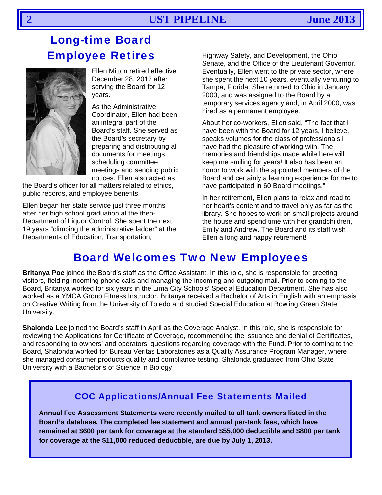# **Long-time Board Employee Retires**



Ellen Mitton retired effective December 28, 2012 after serving the Board for 12 vears.

As the Administrative Coordinator, Ellen had been an integral part of the Board's staff. She served as the Board's secretary by preparing and distributing all documents for meetings, scheduling committee meetings and sending public notices. Ellen also acted as

the Board's officer for all matters related to ethics. public records, and employee benefits.

Ellen began her state service just three months after her high school graduation at the then-Department of Liquor Control. She spent the next 19 years "climbing the administrative ladder" at the Departments of Education, Transportation,

Highway Safety, and Development, the Ohio Senate, and the Office of the Lieutenant Governor. Eventually, Ellen went to the private sector, where she spent the next 10 years, eventually venturing to Tampa. Florida. She returned to Ohio in January 2000, and was assigned to the Board by a temporary services agency and, in April 2000, was hired as a permanent employee.

About her co-workers, Ellen said, "The fact that I have been with the Board for 12 years, I believe, speaks volumes for the class of professionals I have had the pleasure of working with. The memories and friendships made while here will keep me smiling for years! It also has been an honor to work with the appointed members of the Board and certainly a learning experience for me to have participated in 60 Board meetings."

In her retirement, Ellen plans to relax and read to her heart's content and to travel only as far as the library. She hopes to work on small projects around the house and spend time with her grandchildren, Emily and Andrew. The Board and its staff wish Ellen a long and happy retirement!

# **Board Welcomes Two New Employees**

Britanya Poe joined the Board's staff as the Office Assistant. In this role, she is responsible for greeting visitors, fielding incoming phone calls and managing the incoming and outgoing mail. Prior to coming to the Board, Britanya worked for six years in the Lima City Schools' Special Education Department. She has also worked as a YMCA Group Fitness Instructor. Britanya received a Bachelor of Arts in English with an emphasis on Creative Writing from the University of Toledo and studied Special Education at Bowling Green State University.

Shalonda Lee joined the Board's staff in April as the Coverage Analyst. In this role, she is responsible for reviewing the Applications for Certificate of Coverage, recommending the issuance and denial of Certificates, and responding to owners' and operators' questions regarding coverage with the Fund. Prior to coming to the Board, Shalonda worked for Bureau Veritas Laboratories as a Quality Assurance Program Manager, where she managed consumer products quality and compliance testing. Shalonda graduated from Ohio State University with a Bachelor's of Science in Biology.

#### **COC Applications/Annual Fee Statements Mailed**

Annual Fee Assessment Statements were recently mailed to all tank owners listed in the Board's database. The completed fee statement and annual per-tank fees, which have remained at \$600 per tank for coverage at the standard \$55,000 deductible and \$800 per tank for coverage at the \$11,000 reduced deductible, are due by July 1, 2013.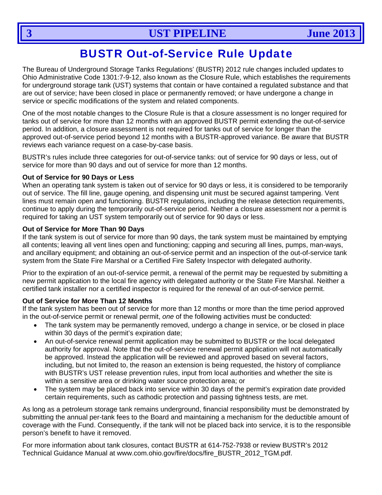# BUSTR Out-of-Service Rule Update

The Bureau of Underground Storage Tanks Regulations' (BUSTR) 2012 rule changes included updates to Ohio Administrative Code 1301:7-9-12, also known as the Closure Rule, which establishes the requirements for underground storage tank (UST) systems that contain or have contained a regulated substance and that are out of service; have been closed in place or permanently removed; or have undergone a change in service or specific modifications of the system and related components.

One of the most notable changes to the Closure Rule is that a closure assessment is no longer required for tanks out of service for more than 12 months with an approved BUSTR permit extending the out-of-service period. In addition, a closure assessment is not required for tanks out of service for longer than the approved out-of-service period beyond 12 months with a BUSTR-approved variance. Be aware that BUSTR reviews each variance request on a case-by-case basis.

BUSTR's rules include three categories for out-of-service tanks: out of service for 90 days or less, out of service for more than 90 days and out of service for more than 12 months.

#### **Out of Service for 90 Days or Less**

When an operating tank system is taken out of service for 90 days or less, it is considered to be temporarily out of service. The fill line, gauge opening, and dispensing unit must be secured against tampering. Vent lines must remain open and functioning. BUSTR regulations, including the release detection requirements, continue to apply during the temporarily out-of-service period. Neither a closure assessment nor a permit is required for taking an UST system temporarily out of service for 90 days or less.

#### **Out of Service for More Than 90 Days**

If the tank system is out of service for more than 90 days, the tank system must be maintained by emptying all contents; leaving all vent lines open and functioning; capping and securing all lines, pumps, man-ways, and ancillary equipment; and obtaining an out-of-service permit and an inspection of the out-of-service tank system from the State Fire Marshal or a Certified Fire Safety Inspector with delegated authority.

Prior to the expiration of an out-of-service permit, a renewal of the permit may be requested by submitting a new permit application to the local fire agency with delegated authority or the State Fire Marshal. Neither a certified tank installer nor a certified inspector is required for the renewal of an out-of-service permit.

#### **Out of Service for More Than 12 Months**

If the tank system has been out of service for more than 12 months or more than the time period approved in the out-of-service permit or renewal permit, *one* of the following activities must be conducted:

- The tank system may be permanently removed, undergo a change in service, or be closed in place within 30 days of the permit's expiration date;
- An out-of-service renewal permit application may be submitted to BUSTR or the local delegated authority for approval. Note that the out-of-service renewal permit application will not automatically be approved. Instead the application will be reviewed and approved based on several factors, including, but not limited to, the reason an extension is being requested, the history of compliance with BUSTR's UST release prevention rules, input from local authorities and whether the site is within a sensitive area or drinking water source protection area; or
- The system may be placed back into service within 30 days of the permit's expiration date provided certain requirements, such as cathodic protection and passing tightness tests, are met.

As long as a petroleum storage tank remains underground, financial responsibility must be demonstrated by submitting the annual per-tank fees to the Board and maintaining a mechanism for the deductible amount of coverage with the Fund. Consequently, if the tank will not be placed back into service, it is to the responsible person's benefit to have it removed.

For more information about tank closures, contact BUSTR at 614-752-7938 or review BUSTR's 2012 Technical Guidance Manual at www.com.ohio.gov/fire/docs/fire\_BUSTR\_2012\_TGM.pdf.